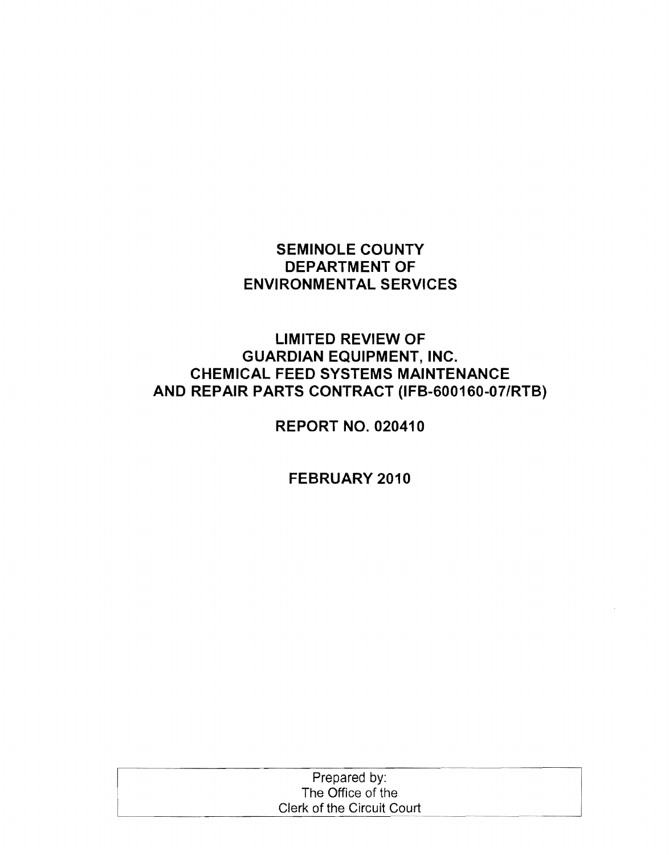## **SEMINOLE COUNTY DEPARTMENT OF ENVIRONMENTAL SERVICES**

## **LIMITED REVIEW OF GUARDIAN EQUIPMENT, INC. CHEMICAL FEED SYSTEMS MAINTENANCE AND REPAIR PARTS CONTRACT (IFB-S001S0-07/RTB)**

**REPORT NO. 020410** 

**FEBRUARY 2010** 

| Prepared by:               |  |
|----------------------------|--|
| The Office of the          |  |
| Clerk of the Circuit Court |  |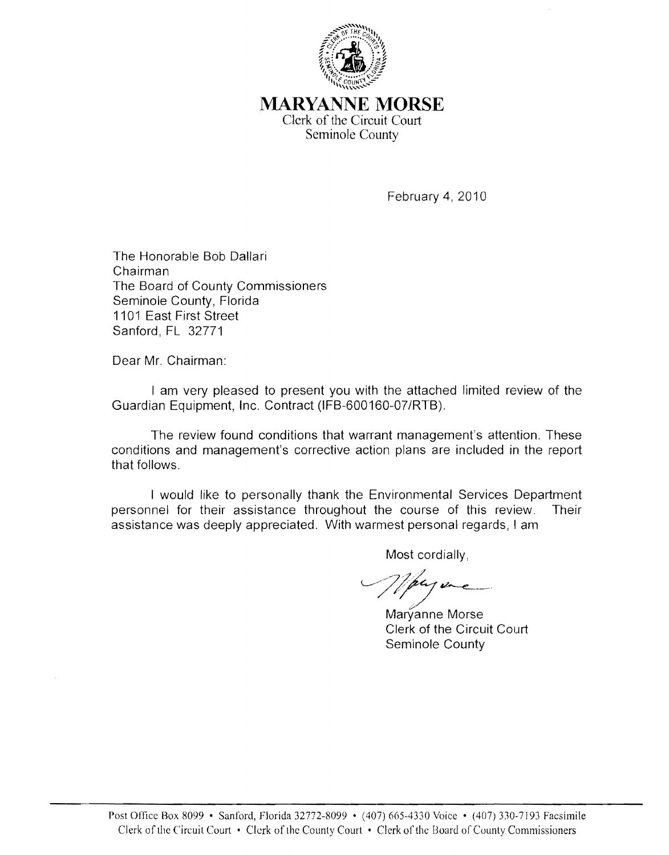

**MARYANNE MORSE**  Clerk of the Circuit Court Seminole County

February 4, 2010

The Honorable Bob Dallari Chairman The Board of County Commissioners Seminole County, Florida 1101 East First Street Sanford, FL 32771

Dear Mr. Chairman:

I am very pleased to present you with the attached limited review of the Guardian Equipment, Inc. Contract (IFB-600160-07/RTB).

The review found conditions that warrant management's attention. These conditions and management's corrective action plans are included in the report that follows.

I would like to personally thank the Environmental Services Department personnel for their assistance throughout the course of this review. Their assistance was deeply appreciated. With warmest personal regards, I am

Most cordially,

 $\mu$ 

Maryanne Morse Clerk of the Circuit Court Seminole County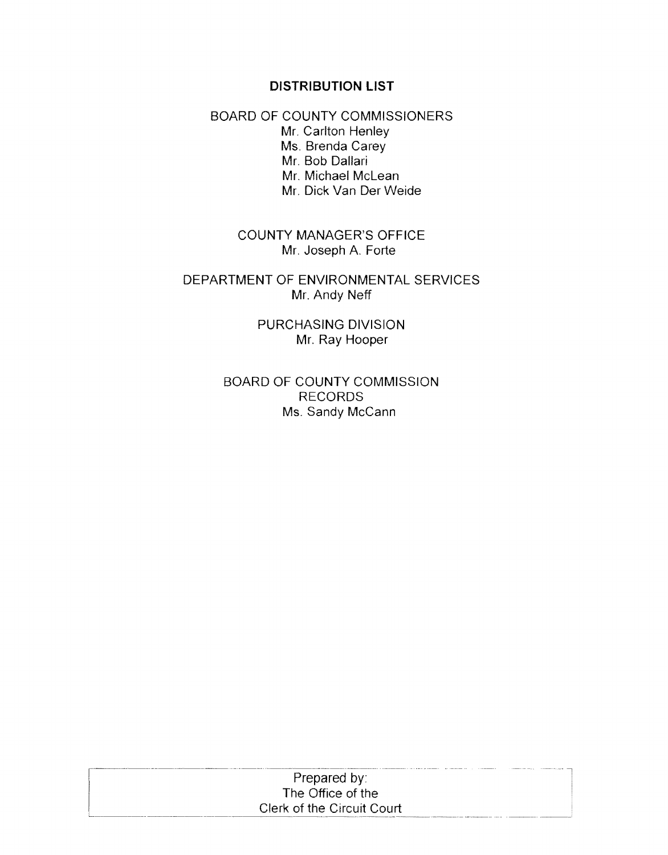#### **DISTRIBUTION LIST**

BOARD OF COUNTY COMMISSIONERS Mr. Carlton Henley Ms. Brenda Carey Mr. Bob Dallari Mr. Michael McLean Mr. Dick Van Der Weide

> COUNTY MANAGER'S OFFICE Mr. Joseph A. Forte

DEPARTMENT OF ENVIRONMENTAL SERVICES Mr. Andy Neff

> PURCHASING DIVISION Mr. Ray Hooper

BOARD OF COUNTY COMMISSION RECORDS Ms. Sandy McCann

| Prepared by:               |  |
|----------------------------|--|
| The Office of the          |  |
| Clerk of the Circuit Court |  |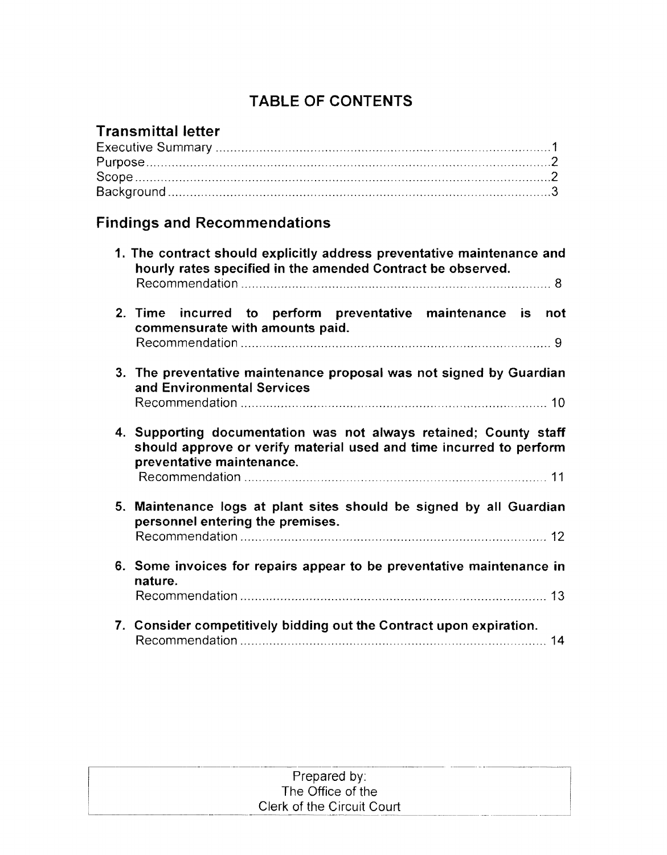## TABLE OF CONTENTS

## Transmittal letter

# Findings and Recommendations

|    | 1. The contract should explicitly address preventative maintenance and<br>hourly rates specified in the amended Contract be observed.                                 |
|----|-----------------------------------------------------------------------------------------------------------------------------------------------------------------------|
|    | 2. Time incurred to perform preventative maintenance is not<br>commensurate with amounts paid.                                                                        |
|    | 3. The preventative maintenance proposal was not signed by Guardian<br>and Environmental Services                                                                     |
|    | 4. Supporting documentation was not always retained; County staff<br>should approve or verify material used and time incurred to perform<br>preventative maintenance. |
| 5. | Maintenance logs at plant sites should be signed by all Guardian<br>personnel entering the premises.                                                                  |
|    | 6. Some invoices for repairs appear to be preventative maintenance in<br>nature.                                                                                      |
|    | 7. Consider competitively bidding out the Contract upon expiration.                                                                                                   |

| Prepared by:               |  |
|----------------------------|--|
| The Office of the          |  |
| Clerk of the Circuit Court |  |
|                            |  |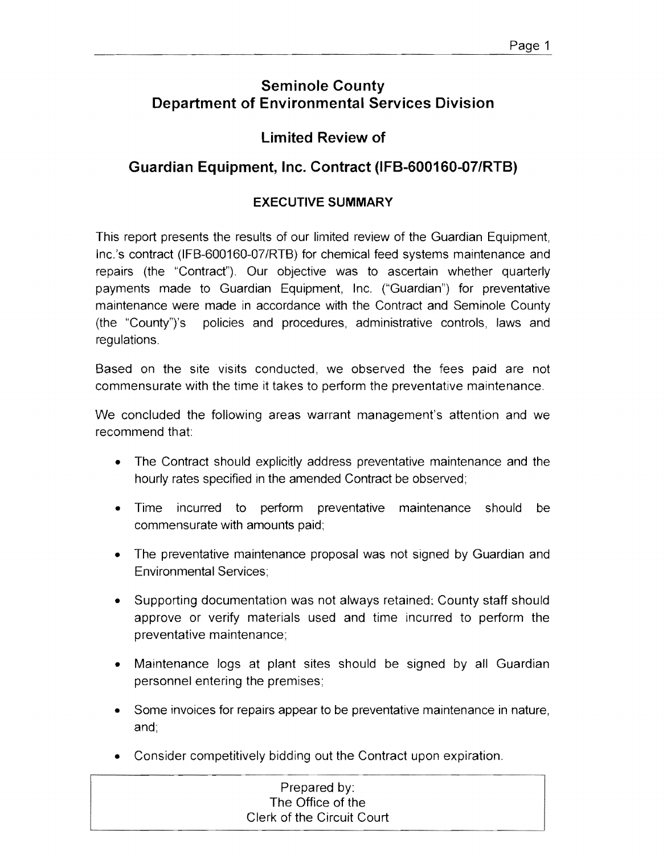## **Seminole County Department of Environmental Services Division**

## **Limited Review of**

## **Guardian Equipment, Inc. Contract (IFB-600160-07/RTB)**

## **EXECUTIVE SUMMARY**

This report presents the results of our limited review of the Guardian Equipment, Inc.'s contract (IFB-600160-07/RTB) for chemical feed systems maintenance and repairs (the "Contract"). Our objective was to ascertain whether quarterly payments made to Guardian Equipment, Inc. ("Guardian") for preventative maintenance were made in accordance with the Contract and Seminole County (the "County")'s policies and procedures, administrative controls, laws and regulations.

Based on the site visits conducted, we observed the fees paid are not commensurate with the time it takes to perform the preventative maintenance.

We concluded the following areas warrant management's attention and we recommend that

- The Contract should explicitly address preventative maintenance and the hourly rates specified in the amended Contract be observed;
- Time incurred to perform preventative maintenance should be commensurate with amounts paid;
- The preventative maintenance proposal was not signed by Guardian and Environmental Services;
- Supporting documentation was not always retained: County staff should approve or verify materials used and time incurred to perform the preventative maintenance;
- Maintenance logs at plant sites should be signed by all Guardian personnel entering the premises;
- Some invoices for repairs appear to be preventative maintenance in nature, and;
- Consider competitively bidding out the Contract upon expiration.

| Prepared by:               |  |
|----------------------------|--|
| The Office of the          |  |
| Clerk of the Circuit Court |  |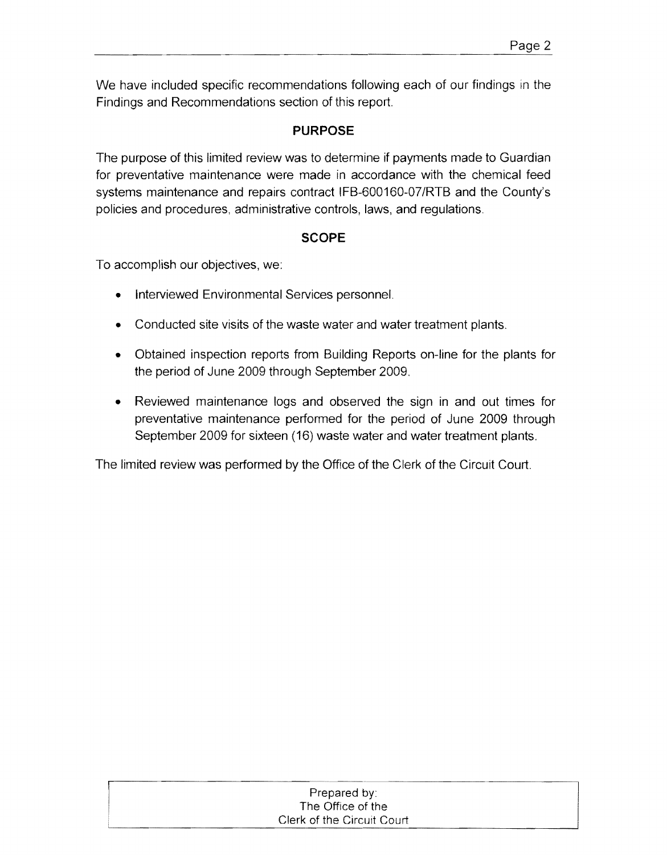We have included specific recommendations following each of our findings in the Findings and Recommendations section of this report.

## **PURPOSE**

The purpose of this limited review was to determine if payments made to Guardian for preventative maintenance were made in accordance with the chemical feed systems maintenance and repairs contract IFB-600160-07/RTB and the County's policies and procedures, administrative controls, laws, and regulations.

### **SCOPE**

To accomplish our objectives, we:

- Interviewed Environmental Services personnel.
- Conducted site visits of the waste water and water treatment plants.
- Obtained inspection reports from Building Reports on-line for the plants for the period of June 2009 through September 2009.
- Reviewed maintenance logs and observed the sign in and out times for preventative maintenance performed for the period of June 2009 through September 2009 for sixteen (16) waste water and water treatment plants.

The limited review was performed by the Office of the Clerk of the Circuit Court.

| Prepared by:               |
|----------------------------|
| The Office of the          |
| Clerk of the Circuit Court |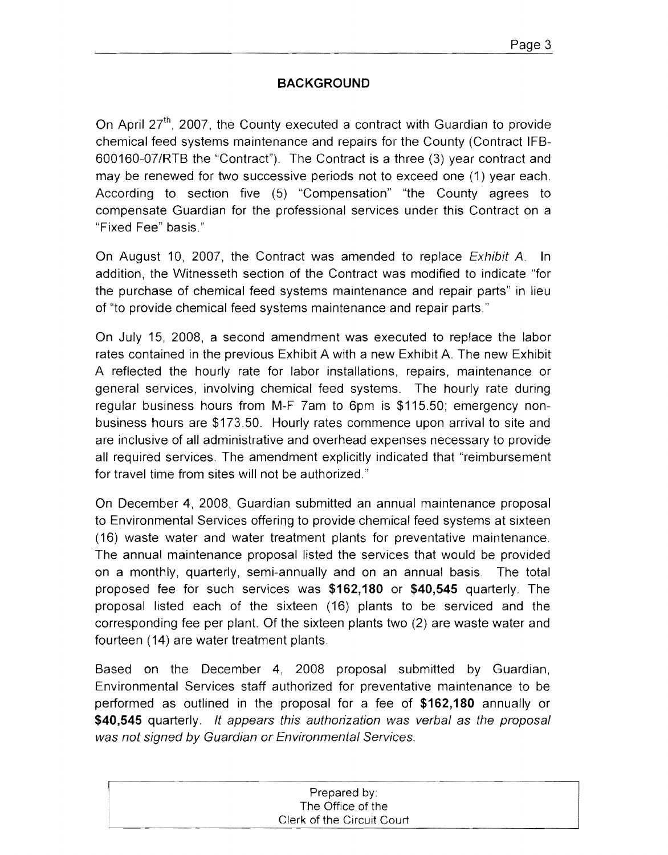### **BACKGROUND**

On April 27<sup>th</sup>, 2007, the County executed a contract with Guardian to provide chemical feed systems maintenance and repairs for the County (Contract IFB-600160-07/RTB the "Contract"). The Contract is a three (3) year contract and may be renewed for two successive periods not to exceed one (1) year each. According to section five (5) "Compensation" "the County agrees to compensate Guardian for the professional services under this Contract on a "Fixed Fee" basis."

On August 10, 2007, the Contract was amended to replace *Exhibit A*. In addition, the Witnesseth section of the Contract was modified to indicate "for the purchase of chemical feed systems maintenance and repair parts" in lieu of "to provide chemical feed systems maintenance and repair parts."

On July 15, 2008, a second amendment was executed to replace the labor rates contained in the previous Exhibit A with a new Exhibit A. The new Exhibit A reflected the hourly rate for labor installations, repairs, maintenance or general services, involving chemical feed systems. The hourly rate during regular business hours from M-F 7am to 6pm is \$115.50; emergency nonbusiness hours are \$173.50. Hourly rates commence upon arrival to site and are inclusive of all administrative and overhead expenses necessary to provide all required services. The amendment explicitly indicated that "reimbursement for travel time from sites will not be authorized."

On December 4, 2008, Guardian submitted an annual maintenance proposal to Environmental Services offering to provide chemical feed systems at sixteen (16) waste water and water treatment plants for preventative maintenance. The annual maintenance proposal listed the services that would be provided on a monthly, quarterly, semi-annually and on an annual basis. The total proposed fee for such services was **\$162,180 or \$40,545** quarterly. The proposal listed each of the sixteen (16) plants to be serviced and the corresponding fee per plant. Of the sixteen plants two (2) are waste water and fourteen (14) are water treatment plants.

Based on the December 4, 2008 proposal submitted by Guardian, Environmental Services staff authorized for preventative maintenance to be performed as outlined in the proposal for a fee of **\$162,180** annually or **\$40,545** quarterly. It appears this authorization was verbal as the proposal was not signed by Guardian or Environmental Services.

| Prepared by:               |
|----------------------------|
| The Office of the          |
| Clerk of the Circuit Court |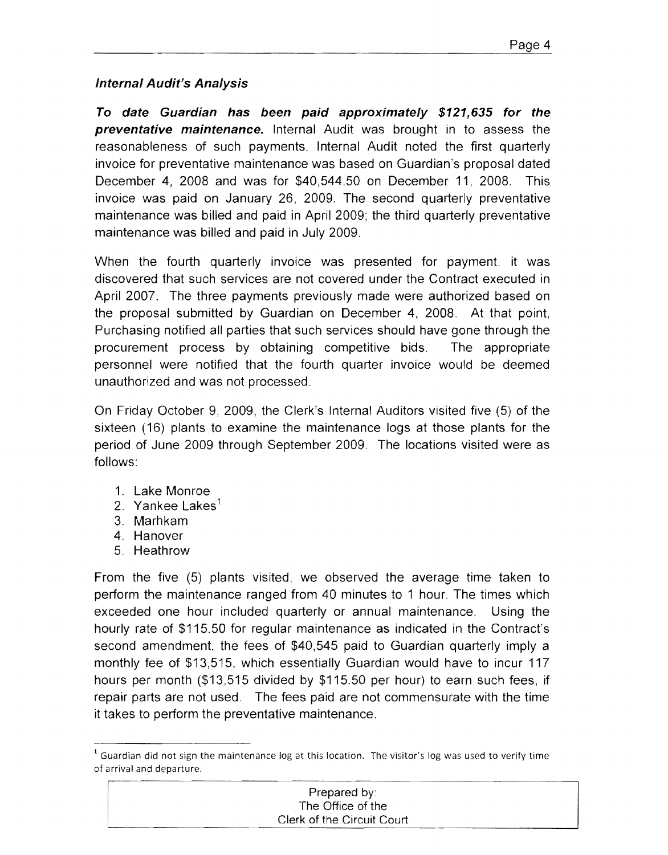### **Internal Audit's Analysis**

**To date Guardian has been paid approximately \$121,635 for the preventative maintenance.** Internal Audit was brought in to assess the reasonableness of such payments. Internal Audit noted the first quarterly invoice for preventative maintenance was based on Guardian's proposal dated December 4, 2008 and was for \$40,544.50 on December 11, 2008. This invoice was paid on January 26, 2009. The second quarterly preventative maintenance was billed and paid in April 2009; the third quarterly preventative maintenance was billed and paid in July 2009.

When the fourth quarterly invoice was presented for payment, it was discovered that such services are not covered under the Contract executed in April 2007. The three payments previously made were authorized based on the proposal submitted by Guardian on December 4, 2008. At that point, Purchasing notified all parties that such services should have gone through the procurement process by obtaining competitive bids. The appropriate personnel were notified that the fourth quarter invoice would be deemed unauthorized and was not processed.

On Friday October 9, 2009, the Clerk's Internal Auditors visited five (5) of the sixteen (16) plants to examine the maintenance logs at those plants for the period of June 2009 through September 2009. The locations visited were as follows:

- 1. Lake Monroe
- 2. Yankee Lakes $<sup>1</sup>$ </sup>
- 3. Marhkam
- 4. Hanover
- 5. Heathrow

From the five (5) plants visited, we observed the average time taken to perform the maintenance ranged from 40 minutes to 1 hour. The times which exceeded one hour included quarterly or annual maintenance. Using the hourly rate of \$115.50 for regular maintenance as indicated in the Contract's second amendment, the fees of \$40,545 paid to Guardian quarterly imply a monthly fee of \$13,515, which essentially Guardian would have to incur 117 hours per month (\$13,515 divided by \$115.50 per hour) to earn such fees, if repair parts are not used. The fees paid are not commensurate with the time it takes to perform the preventative maintenance.

<sup>&</sup>lt;sup>1</sup> Guardian did not sign the maintenance log at this location. The visitor's log was used to verify time of arrival and departure.

| Prepared by:               |  |
|----------------------------|--|
| The Office of the          |  |
| Clerk of the Circuit Court |  |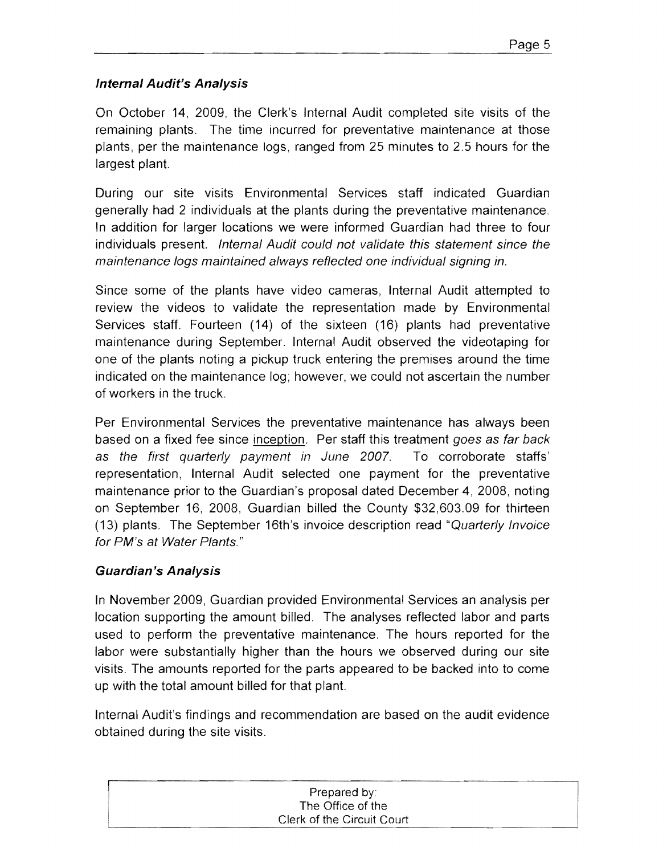### **Internal Audit's Analysis**

On October 14, 2009, the Clerk's Internal Audit completed site visits of the remaining plants. The time incurred for preventative maintenance at those plants, per the maintenance logs, ranged from 25 minutes to 2.5 hours for the largest plant.

During our site visits Environmental Services staff indicated Guardian generally had 2 individuals at the plants during the preventative maintenance. In addition for larger locations we were informed Guardian had three to four individuals present. Internal Audit could not validate this statement since the maintenance logs maintained always reflected one individual signing in.

Since some of the plants have video cameras, Internal Audit attempted to review the videos to validate the representation made by Environmental Services staff. Fourteen (14) of the sixteen (16) plants had preventative maintenance during September. Internal Audit observed the videotaping for one of the plants noting a pickup truck entering the premises around the time indicated on the maintenance log; however, we could not ascertain the number of workers in the truck.

Per Environmental Services the preventative maintenance has always been based on a fixed fee since inception. Per staff this treatment goes as far back as the first quarterly payment in June 2007. To corroborate staffs' representation, Internal Audit selected one payment for the preventative maintenance prior to the Guardian's proposal dated December 4, 2008, noting on September 16, 2008, Guardian billed the County \$32,603.09 for thirteen (13) plants. The September 16th's invoice description read "Quarterly Invoice for PM's at Water Plants."

### **Guardian's Analysis**

In November 2009, Guardian provided Environmental Services an analysis per location supporting the amount billed. The analyses reflected labor and parts used to perform the preventative maintenance. The hours reported for the labor were substantially higher than the hours we observed during our site visits. The amounts reported for the parts appeared to be backed into to come up with the total amount billed for that plant.

Internal Audit's findings and recommendation are based on the audit evidence obtained during the site visits.

| Prepared by:               |
|----------------------------|
| The Office of the          |
| Clerk of the Circuit Court |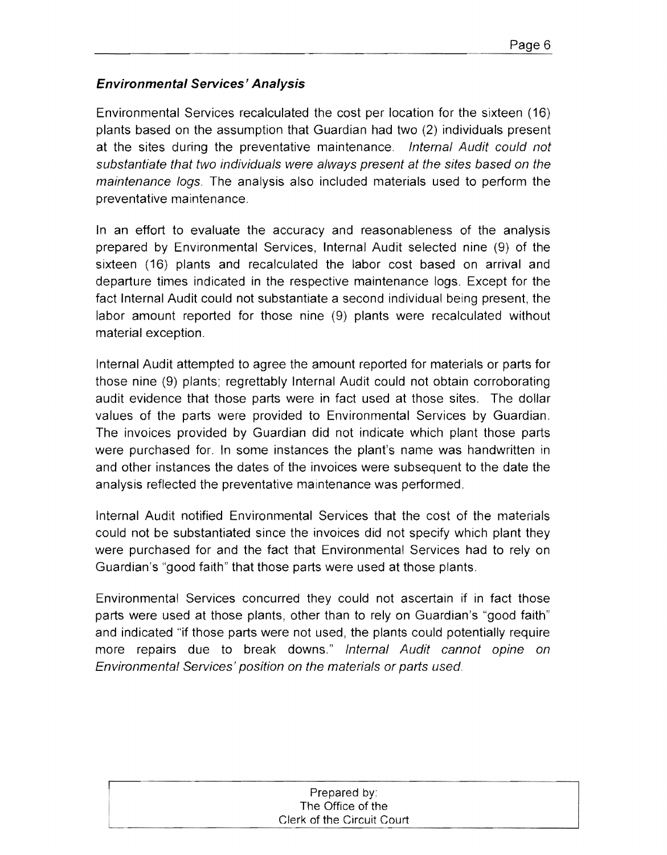## **Environmental Services' Analysis**

Environmental Services recalculated the cost per location for the sixteen (16) plants based on the assumption that Guardian had two (2) individuals present at the sites during the preventative maintenance. Internal Audit could not substantiate that two individuals were always present at the sites based on the maintenance logs. The analysis also included materials used to perform the preventative maintenance.

In an effort to evaluate the accuracy and reasonableness of the analysis prepared by Environmental Services, Internal Audit selected nine (9) of the sixteen (16) plants and recalculated the labor cost based on arrival and departure times indicated in the respective maintenance logs. Except for the fact Internal Audit could not substantiate a second individual being present, the labor amount reported for those nine (9) plants were recalculated without material exception.

Internal Audit attempted to agree the amount reported for materials or parts for those nine (9) plants; regrettably Internal Audit could not obtain corroborating audit evidence that those parts were in fact used at those sites. The dollar values of the parts were provided to Environmental Services by Guardian. The invoices provided by Guardian did not indicate which plant those parts were purchased for. In some instances the plant's name was handwritten in and other instances the dates of the invoices were subsequent to the date the analysis reflected the preventative maintenance was performed.

Internal Audit notified Environmental Services that the cost of the materials could not be substantiated since the invoices did not specify which plant they were purchased for and the fact that Environmental Services had to rely on Guardian's "good faith" that those parts were used at those plants.

Environmental Services concurred they could not ascertain if in fact those parts were used at those plants, other than to rely on Guardian's "good faith" and indicated "if those parts were not used, the plants could potentially require more repairs due to break downs." Internal Audit cannot opine on Environmental Services' position on the materials or parts used.

| Prepared by:               |
|----------------------------|
| The Office of the          |
| Clerk of the Circuit Court |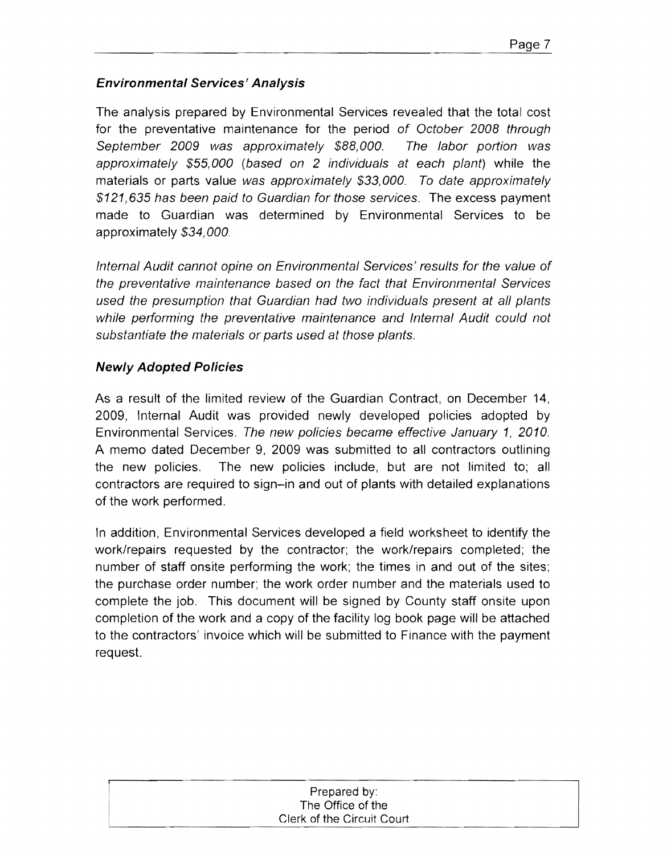## **Environmental Services' Analysis**

The analysis prepared by Environmental Services revealed that the total cost for the preventative maintenance for the period of October 2008 through September 2009 was approximately \$88,000. The labor portion was approximately \$55,000 (based on 2 individuals at each plant) while the materials or parts value was approximately \$33,000. To date approximately \$121,635 has been paid to Guardian for those services. The excess payment made to Guardian was determined by Environmental Services to be approximately \$34,000.

Internal Audit cannot opine on Environmental Services' results for the value of the preventative maintenance based on the fact that Environmental Services used the presumption that Guardian had two individuals present at all plants while performing the preventative maintenance and Internal Audit could not substantiate the materials or parts used at those plants.

### **Newly Adopted Policies**

As a result of the limited review of the Guardian Contract, on December 14, 2009, Internal Audit was provided newly developed policies adopted by Environmental Services. The new policies became effective January 1, 2010. A memo dated December 9, 2009 was submitted to all contractors outlining the new policies. The new policies include, but are not limited to; all contractors are required to sign-in and out of plants with detailed explanations of the work performed.

In addition, Environmental Services developed a field worksheet to identify the work/repairs requested by the contractor; the work/repairs completed; the number of staff onsite performing the work; the times in and out of the sites; the purchase order number; the work order number and the materials used to complete the job. This document will be signed by County staff onsite upon completion of the work and a copy of the facility log book page will be attached to the contractors' invoice which will be submitted to Finance with the payment request.

| Prepared by:               |
|----------------------------|
| The Office of the          |
| Clerk of the Circuit Court |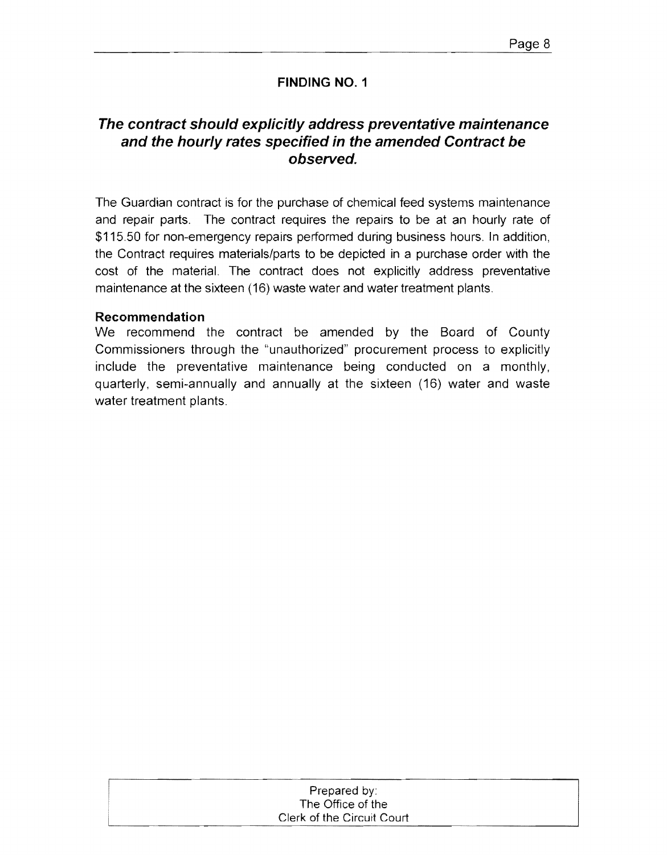## **The contract should explicitly address preventative maintenance and the hourly rates specified in the amended Contract be observed.**

The Guardian contract is for the purchase of chemical feed systems maintenance and repair parts. The contract requires the repairs to be at an hourly rate of \$115.50 for non-emergency repairs performed during business hours. In addition, the Contract requires materials/parts to be depicted in a purchase order with the cost of the material. The contract does not explicitly address preventative maintenance at the sixteen (16) waste water and water treatment plants.

#### **Recommendation**

We recommend the contract be amended by the Board of County Commissioners through the "unauthorized" procurement process to explicitly include the preventative maintenance being conducted on a monthly, quarterly, semi-annually and annually at the sixteen (16) water and waste water treatment plants.

| Prepared by:               |
|----------------------------|
| The Office of the          |
| Clerk of the Circuit Court |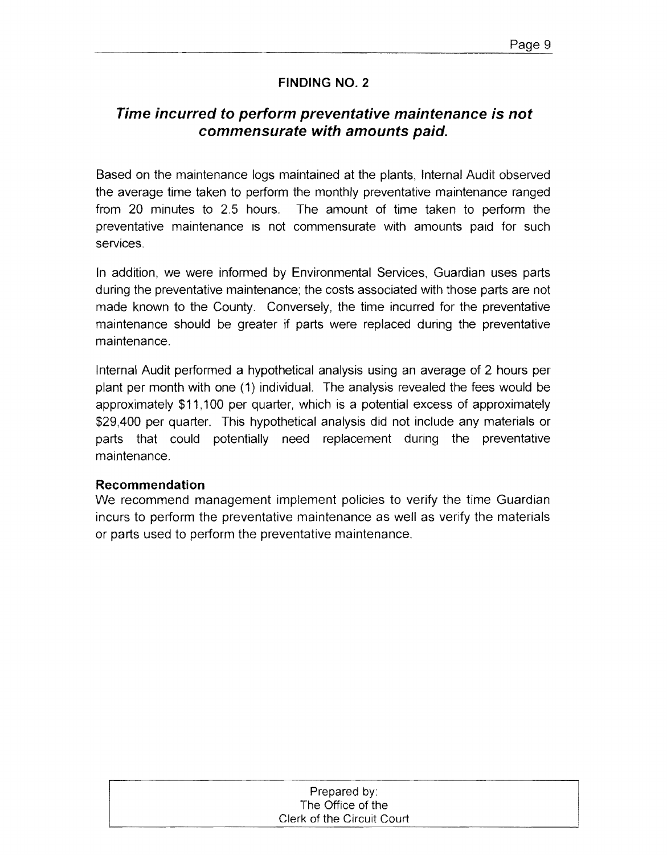## **Time incurred to perform preventative maintenance is not commensurate with amounts paid.**

Based on the maintenance logs maintained at the plants, Internal Audit observed the average time taken to perform the monthly preventative maintenance ranged from 20 minutes to 2.5 hours. The amount of time taken to perform the preventative maintenance is not commensurate with amounts paid for such services.

In addition, we were informed by Environmental Services, Guardian uses parts during the preventative maintenance; the costs associated with those parts are not made known to the County. Conversely, the time incurred for the preventative maintenance should be greater if parts were replaced during the preventative maintenance.

Internal Audit performed a hypothetical analysis using an average of 2 hours per plant per month with one (1) individual. The analysis revealed the fees would be approximately \$11,100 per quarter, which is a potential excess of approximately \$29,400 per quarter. This hypothetical analysis did not include any materials or parts that could potentially need replacement during the preventative maintenance.

#### **Recommendation**

We recommend management implement policies to verify the time Guardian incurs to perform the preventative maintenance as well as verify the materials or parts used to perform the preventative maintenance.

| Prepared by:               |  |
|----------------------------|--|
| The Office of the          |  |
| Clerk of the Circuit Court |  |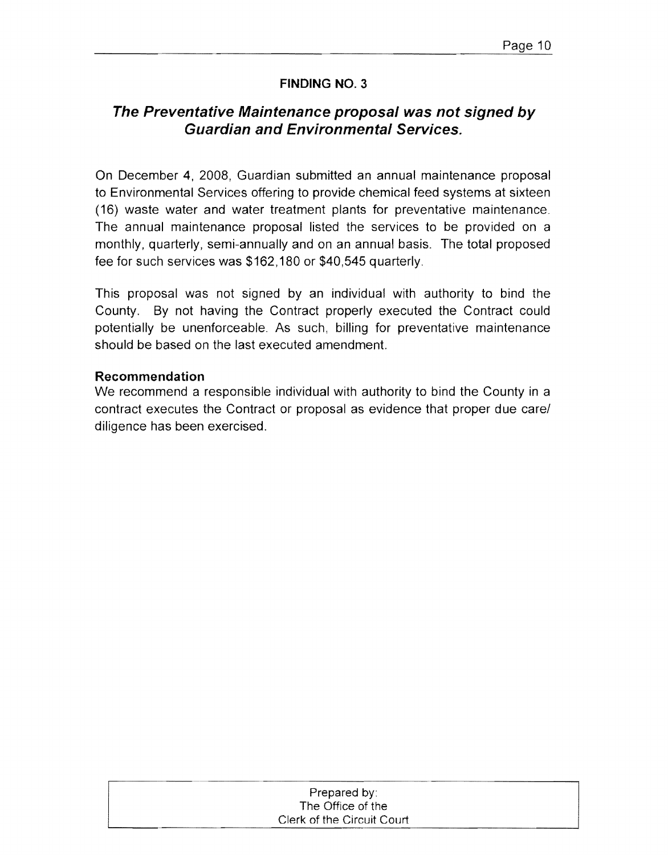## **The Preventative Maintenance proposal was not signed by Guardian and Environmental Services,**

On December 4, 2008, Guardian submitted an annual maintenance proposal to Environmental Services offering to provide chemical feed systems at sixteen (16) waste water and water treatment plants for preventative maintenance. The annual maintenance proposal listed the services to be provided on a monthly, quarterly, semi-annually and on an annual basis. The total proposed fee for such services was \$162,180 or \$40,545 quarterly.

This proposal was not Signed by an individual with authority to bind the County. By not having the Contract properly executed the Contract could potentially be unenforceable. As such, billing for preventative maintenance should be based on the last executed amendment.

#### **Recommendation**

We recommend a responsible individual with authority to bind the County in a contract executes the Contract or proposal as evidence that proper due carel diligence has been exercised.

| Prepared by:               |  |
|----------------------------|--|
| The Office of the          |  |
| Clerk of the Circuit Court |  |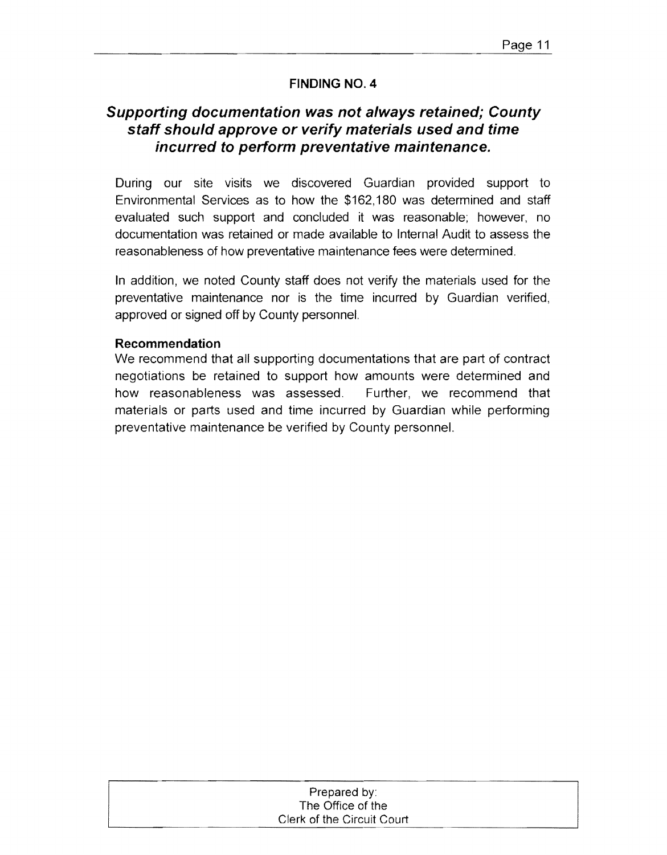## **Supporting documentation was not always retained; County staff should approve or verify materials used and time incurred to perform preventative maintenance.**

During our site visits we discovered Guardian provided support to Environmental Services as to how the \$162,180 was determined and staff evaluated such support and concluded it was reasonable; however, no documentation was retained or made available to Internal Audit to assess the reasonableness of how preventative maintenance fees were determined.

In addition, we noted County staff does not verify the materials used for the preventative maintenance nor is the time incurred by Guardian verified, approved or signed off by County personnel.

#### **Recommendation**

We recommend that all supporting documentations that are part of contract negotiations be retained to support how amounts were determined and how reasonableness was assessed. Further, we recommend that materials or parts used and time incurred by Guardian while performing preventative maintenance be verified by County personnel.

| Prepared by:               |
|----------------------------|
| The Office of the          |
| Clerk of the Circuit Court |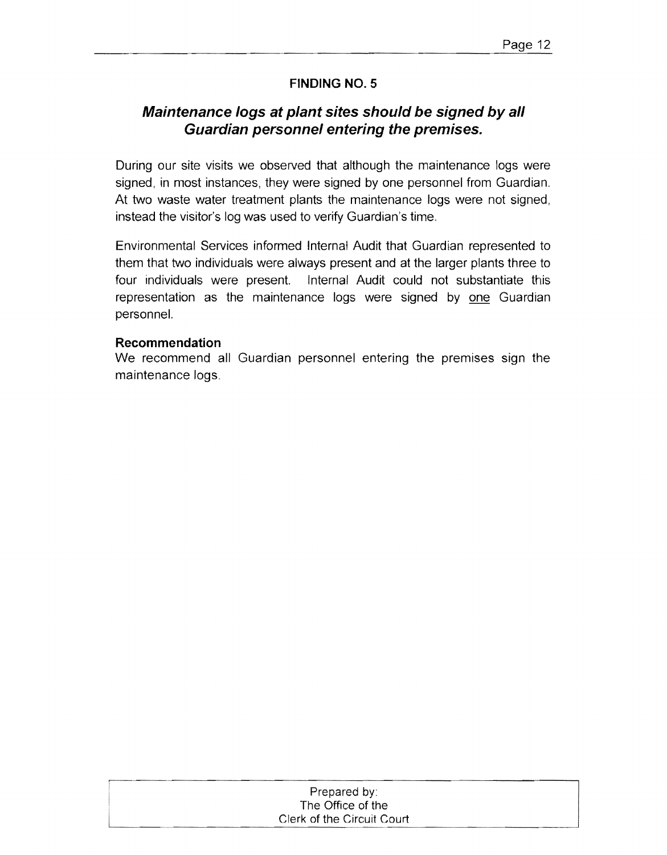## **Maintenance logs at plant sites should be signed by all Guardian personnel entering the premises.**

During our site visits we observed that although the maintenance logs were signed, in most instances, they were signed by one personnel from Guardian. At two waste water treatment plants the maintenance logs were not signed, instead the visitor's log was used to verify Guardian's time.

Environmental Services informed Internal Audit that Guardian represented to them that two individuals were always present and at the larger plants three to four individuals were present. Internal Audit could not substantiate this representation as the maintenance logs were signed by one Guardian personnel.

#### **Recommendation**

We recommend all Guardian personnel entering the premises sign the maintenance logs.

| .                          |
|----------------------------|
| Prepared by:               |
| The Office of the          |
| Clerk of the Circuit Court |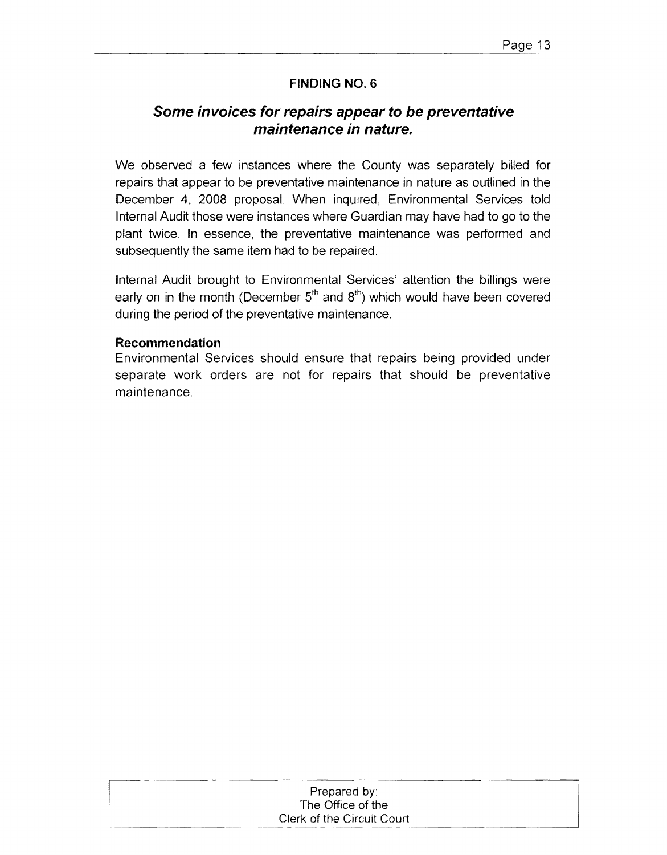## **Some invoices for repairs appear to be preventative maintenance in nature.**

We observed a few instances where the County was separately billed for repairs that appear to be preventative maintenance in nature as outlined in the December 4, 2008 proposal. When inquired, Environmental Services told Internal Audit those were instances where Guardian may have had to go to the plant twice. **In** essence, the preventative maintenance was performed and subsequently the same item had to be repaired.

Internal Audit brought to Environmental Services' attention the billings were early on in the month (December 5<sup>th</sup> and 8<sup>th</sup>) which would have been covered during the period of the preventative maintenance.

#### **Recommendation**

Environmental Services should ensure that repairs being provided under separate work orders are not for repairs that should be preventative maintenance.

| Prepared by:               |  |
|----------------------------|--|
| The Office of the          |  |
| Clerk of the Circuit Court |  |